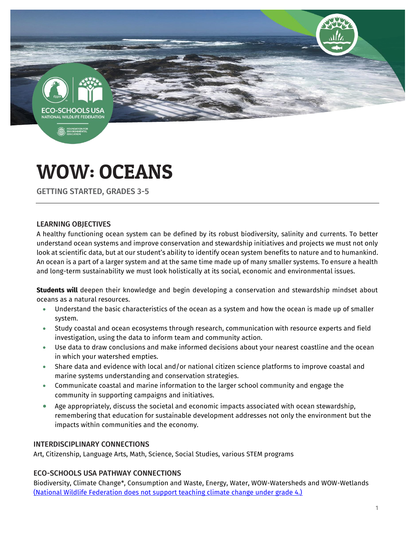

**B**, ENVIRO



GETTING STARTED, GRADES 3-5

#### LEARNING OBJECTIVES

A healthy functioning ocean system can be defined by its robust biodiversity, salinity and currents. To better understand ocean systems and improve conservation and stewardship initiatives and projects we must not only look at scientific data, but at our student's ability to identify ocean system benefits to nature and to humankind. An ocean is a part of a larger system and at the same time made up of many smaller systems. To ensure a health and long-term sustainability we must look holistically at its social, economic and environmental issues.

**Students will** deepen their knowledge and begin developing a conservation and stewardship mindset about oceans as a natural resources.

- Understand the basic characteristics of the ocean as a system and how the ocean is made up of smaller system.
- Study coastal and ocean ecosystems through research, communication with resource experts and field investigation, using the data to inform team and community action.
- Use data to draw conclusions and make informed decisions about your nearest coastline and the ocean in which your watershed empties.
- Share data and evidence with local and/or national citizen science platforms to improve coastal and marine systems understanding and conservation strategies.
- Communicate coastal and marine information to the larger school community and engage the community in supporting campaigns and initiatives.
- Age appropriately, discuss the societal and economic impacts associated with ocean stewardship, remembering that education for sustainable development addresses not only the environment but the impacts within communities and the economy.

#### INTERDISCIPLINARY CONNECTIONS

Art, Citizenship, Language Arts, Math, Science, Social Studies, various STEM programs

#### ECO-SCHOOLS USA PATHWAY CONNECTIONS

Biodiversity, Climate Change\*, Consumption and Waste, Energy, Water, WOW-Watersheds and WOW-Wetlands [\(National Wildlife Federation does not support teaching climate change under grade 4.\)](http://online.nwf.org/site/DocServer/NWF_NAAEE_Educational_Guidelines1.pdf)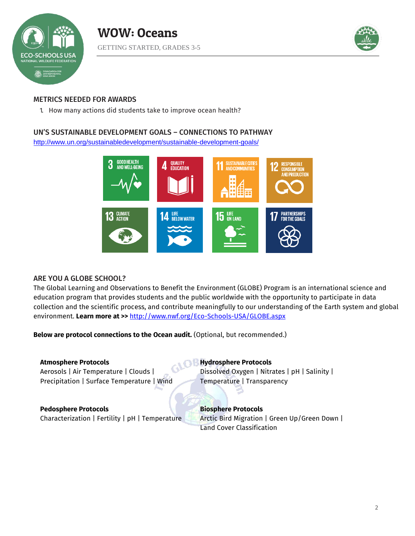



### METRICS NEEDED FOR AWARDS

1. How many actions did students take to improve ocean health?

#### UN'S SUSTAINABLE DEVELOPMENT GOALS – CONNECTIONS TO PATHWAY

<http://www.un.org/sustainabledevelopment/sustainable-development-goals/>



#### ARE YOU A GLOBE SCHOOL?

The Global Learning and Observations to Benefit the Environment (GLOBE) Program is an international science and education program that provides students and the public worldwide with the opportunity to participate in data collection and the scientific process, and contribute meaningfully to our understanding of the Earth system and global environment. **Learn more at >>** <http://www.nwf.org/Eco-Schools-USA/GLOBE.aspx>

**Below are protocol connections to the Ocean audit.** (Optional, but recommended.)

#### **Atmosphere Protocols** Aerosols | Air Temperature | Clouds | Precipitation | Surface Temperature | Wind

**Hydrosphere Protocols** Dissolved Oxygen | Nitrates | pH | Salinity | Temperature | Transparency

# **Pedosphere Protocols**

Characterization | Fertility | pH | Temperature

**Biosphere Protocols**  Arctic Bird Migration | Green Up/Green Down | Land Cover Classification